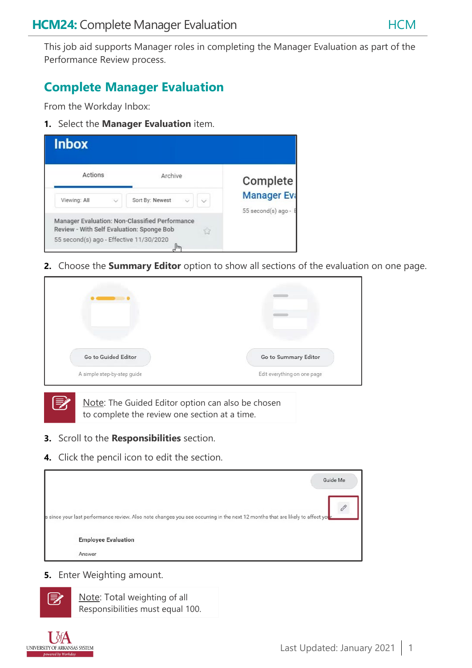This job aid supports Manager roles in completing the Manager Evaluation as part of the Performance Review process.

# **Complete Manager Evaluation**

From the Workday Inbox:

**1.** Select the **Manager Evaluation** item.



**2.** Choose the **Summary Editor** option to show all sections of the evaluation on one page.

| Go to Guided Editor         | Go to Summary Editor        |
|-----------------------------|-----------------------------|
| A simple step-by-step guide | Edit everything on one page |

Note: The Guided Editor option can also be chosen to complete the review one section at a time.

- **3.** Scroll to the **Responsibilities** section.
- **4.** Click the pencil icon to edit the section.



**5.** Enter Weighting amount.

| 診 | Note: Total weighting of all     |
|---|----------------------------------|
|   | Responsibilities must equal 100. |

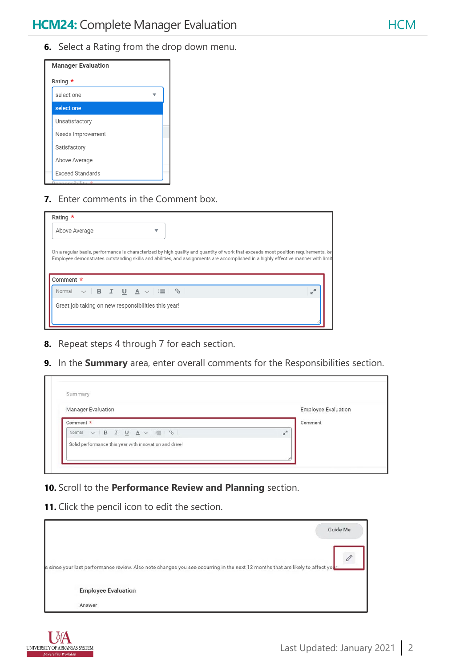

**7.** Enter comments in the Comment box.

| Rating $\star$                                      |                                                                                                                                                                                                                                                                       |
|-----------------------------------------------------|-----------------------------------------------------------------------------------------------------------------------------------------------------------------------------------------------------------------------------------------------------------------------|
| Above Average                                       |                                                                                                                                                                                                                                                                       |
| Comment *                                           | On a regular basis, performance is characterized by high quality and quantity of work that exceeds most position requirements, ke<br>Employee demonstrates outstanding skills and abilities, and assignments are accomplished in a highly effective manner with limit |
| $\vee$ B I U A $\vee$ $\equiv$ $\Diamond$<br>Normal | J.                                                                                                                                                                                                                                                                    |
| Great job taking on new responsibilities this year! |                                                                                                                                                                                                                                                                       |

- **8.** Repeat steps 4 through 7 for each section.
- **9.** In the **Summary** area, enter overall comments for the Responsibilities section.

| Manager Evaluation                                          | <b>Employee Evaluation</b> |
|-------------------------------------------------------------|----------------------------|
| Comment *                                                   | Comment                    |
| $\vee$ B $I$ U $\underline{A}$ $\vee$ $ \equiv$ 0<br>Normal | $\kappa^{\rm H}$           |
| Solid performance this year with innovation and drive!      |                            |

**10.** Scroll to the **Performance Review and Planning** section.

**11.** Click the pencil icon to edit the section.

|                                                                                                                                               | Guide Me |
|-----------------------------------------------------------------------------------------------------------------------------------------------|----------|
| s since your last performance review. Also note changes you see occurring in the next 12 months that are likely to affect you <mark>r.</mark> |          |
|                                                                                                                                               |          |
| <b>Employee Evaluation</b><br>Answer                                                                                                          |          |

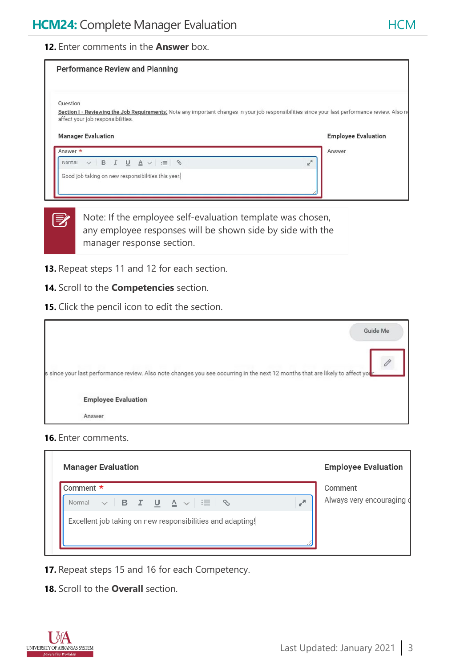### **12.** Enter comments in the **Answer** box.

| <b>Performance Review and Planning</b>                                                                                                                                                                                        |                  |                            |
|-------------------------------------------------------------------------------------------------------------------------------------------------------------------------------------------------------------------------------|------------------|----------------------------|
| Question<br>Section I - Reviewing the Job Requirements: Note any important changes in your job responsibilities since your last performance review. Also no<br>affect your job responsibilities.<br><b>Manager Evaluation</b> |                  | <b>Employee Evaluation</b> |
| Answer *                                                                                                                                                                                                                      |                  | Answer                     |
|                                                                                                                                                                                                                               |                  |                            |
| $\vee$ B I U A $\vee$ $\equiv$ $\Diamond$<br>Normal                                                                                                                                                                           | $\kappa_{\rm N}$ |                            |

Note: If the employee self-evaluation template was chosen, any employee responses will be shown side by side with the manager response section.

- **13.** Repeat steps 11 and 12 for each section.
- **14.** Scroll to the **Competencies** section.
- **15.** Click the pencil icon to edit the section.

|                                                                                                                                | Guide Me |
|--------------------------------------------------------------------------------------------------------------------------------|----------|
| s since your last performance review. Also note changes you see occurring in the next 12 months that are likely to affect your |          |
| <b>Employee Evaluation</b>                                                                                                     |          |
| Answer                                                                                                                         |          |

#### **16.** Enter comments.

 $\overline{\mathbb{E}}$ 

| Comment *                                                                                                                                                                                                                                                                         |              | Comment                   |
|-----------------------------------------------------------------------------------------------------------------------------------------------------------------------------------------------------------------------------------------------------------------------------------|--------------|---------------------------|
| $\begin{array}{c c c c c c c c} \hline \multicolumn{1}{c }{\vee} & \multicolumn{1}{c }{\mathsf{B}} & \multicolumn{1}{c}{\mathsf{I}} & \multicolumn{1}{c}{\mathsf{U}} & \multicolumn{1}{c}{\mathsf{A}} & \multicolumn{1}{c}{\vee} & \vdots \equiv & \oslash \end{array}$<br>Normal | $\mathbf{r}$ | Always very encouraging o |
| Excellent job taking on new responsibilities and adapting!                                                                                                                                                                                                                        |              |                           |

- **17.** Repeat steps 15 and 16 for each Competency.
- **18.** Scroll to the **Overall** section.